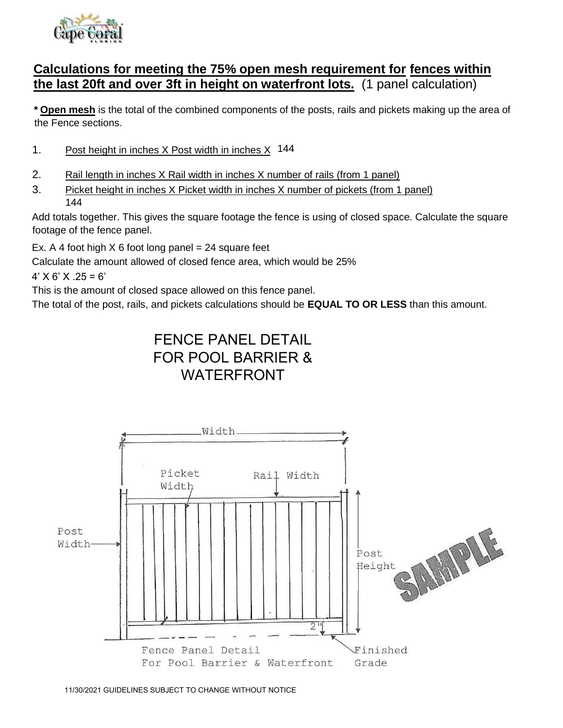